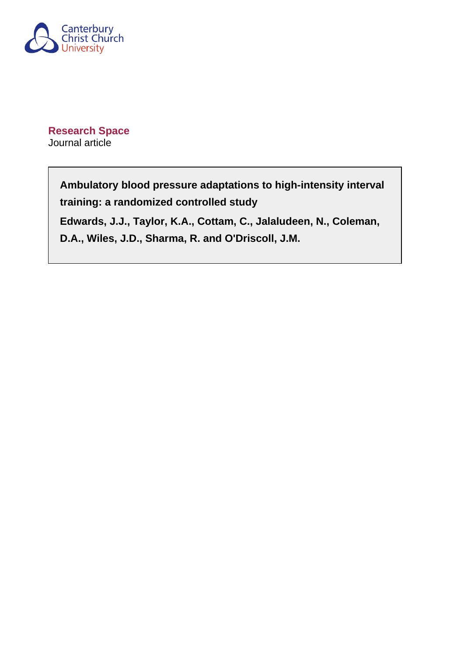

**Research Space** Journal article

# **Ambulatory blood pressure adaptations to high-intensity interval training: a randomized controlled study**

**Edwards, J.J., Taylor, K.A., Cottam, C., Jalaludeen, N., Coleman, D.A., Wiles, J.D., Sharma, R. and O'Driscoll, J.M.**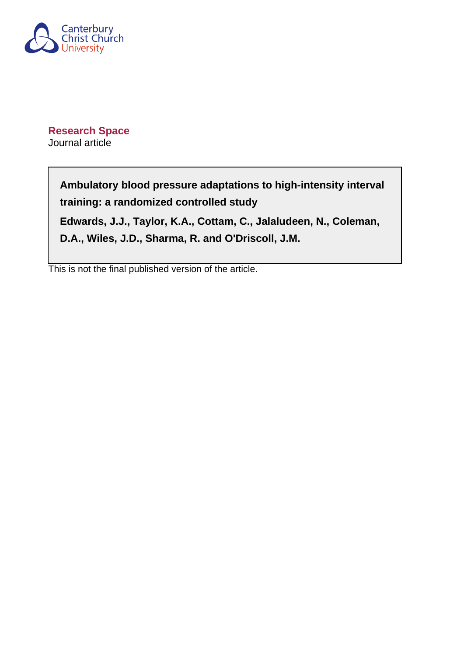

**Research Space** Journal article

> **Ambulatory blood pressure adaptations to high-intensity interval training: a randomized controlled study**

**Edwards, J.J., Taylor, K.A., Cottam, C., Jalaludeen, N., Coleman, D.A., Wiles, J.D., Sharma, R. and O'Driscoll, J.M.**

This is not the final published version of the article.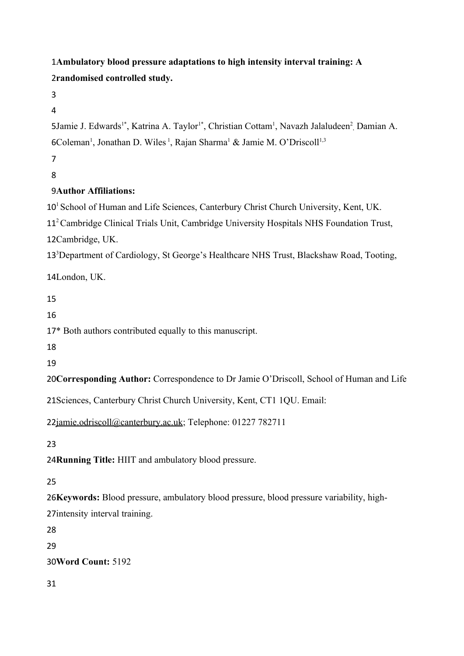**Ambulatory blood pressure adaptations to high intensity interval training: A**  1 **randomised controlled study.**  2

3

4

5Jamie J. Edwards<sup>1\*</sup>, Katrina A. Taylor<sup>1\*</sup>, Christian Cottam<sup>1</sup>, Navazh Jalaludeen<sup>2</sup>, Damian A. 6Coleman<sup>1</sup>, Jonathan D. Wiles<sup>1</sup>, Rajan Sharma<sup>1</sup> & Jamie M. O'Driscoll<sup>1,3</sup>

7

8

# **Author Affiliations:** 9

10<sup>1</sup> School of Human and Life Sciences, Canterbury Christ Church University, Kent, UK.

11<sup>2</sup> Cambridge Clinical Trials Unit, Cambridge University Hospitals NHS Foundation Trust, 12Cambridge, UK.

13<sup>3</sup>Department of Cardiology, St George's Healthcare NHS Trust, Blackshaw Road, Tooting,

14London, UK.

15

16

17\* Both authors contributed equally to this manuscript.

18

19

20 Corresponding Author: Correspondence to Dr Jamie O'Driscoll, School of Human and Life

21 Sciences, Canterbury Christ Church University, Kent, CT1 1QU. Email:

22[jamie.odriscoll@canterbury.ac.uk;](mailto:jamie.odriscoll@canterbury.ac.uk) Telephone: 01227 782711

23

24 Running Title: HIIT and ambulatory blood pressure.

25

26 Keywords: Blood pressure, ambulatory blood pressure, blood pressure variability, high-27intensity interval training.

28

29

**Word Count:** 5192 30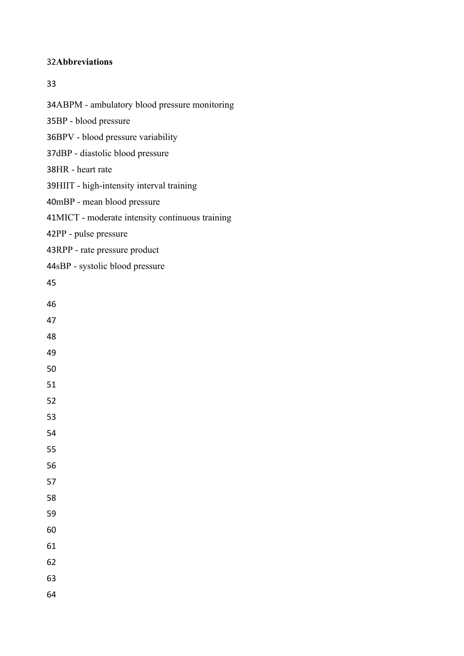# **Abbreviations**

### 

34ABPM - ambulatory blood pressure monitoring 35BP - blood pressure 36BPV - blood pressure variability 37dBP - diastolic blood pressure 38HR - heart rate 39HIIT - high-intensity interval training 40mBP - mean blood pressure MICT - moderate intensity continuous training 42PP - pulse pressure 43RPP - rate pressure product 44sBP - systolic blood pressure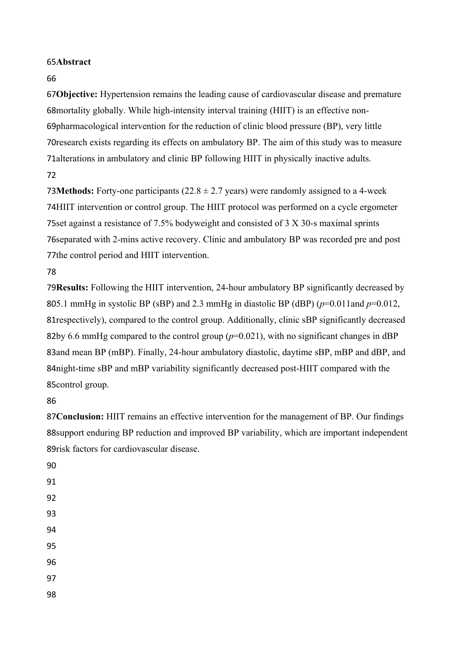# 65Abstract

66

**Objective:** Hypertension remains the leading cause of cardiovascular disease and premature 67 68 mortality globally. While high-intensity interval training (HIIT) is an effective non-69pharmacological intervention for the reduction of clinic blood pressure (BP), very little 70 research exists regarding its effects on ambulatory BP. The aim of this study was to measure 71 alterations in ambulatory and clinic BP following HIIT in physically inactive adults. 72

**73Methods:** Forty-one participants  $(22.8 \pm 2.7 \text{ years})$  were randomly assigned to a 4-week 74HIIT intervention or control group. The HIIT protocol was performed on a cycle ergometer 75set against a resistance of 7.5% bodyweight and consisted of  $3 \text{ X } 30$ -s maximal sprints 76 separated with 2-mins active recovery. Clinic and ambulatory BP was recorded pre and post 77the control period and HIIT intervention.

78

79 Results: Following the HIIT intervention, 24-hour ambulatory BP significantly decreased by 805.1 mmHg in systolic BP (sBP) and 2.3 mmHg in diastolic BP (dBP)  $(p=0.011$  and  $p=0.012$ , 81respectively), compared to the control group. Additionally, clinic sBP significantly decreased 82by 6.6 mmHg compared to the control group  $(p=0.021)$ , with no significant changes in dBP 83and mean BP (mBP). Finally, 24-hour ambulatory diastolic, daytime sBP, mBP and dBP, and 84 night-time sBP and mBP variability significantly decreased post-HIIT compared with the 85control group.

86

87 Conclusion: HIIT remains an effective intervention for the management of BP. Our findings 88 support enduring BP reduction and improved BP variability, which are important independent 89risk factors for cardiovascular disease.

91 92

90

- 93
- 94

95

96

97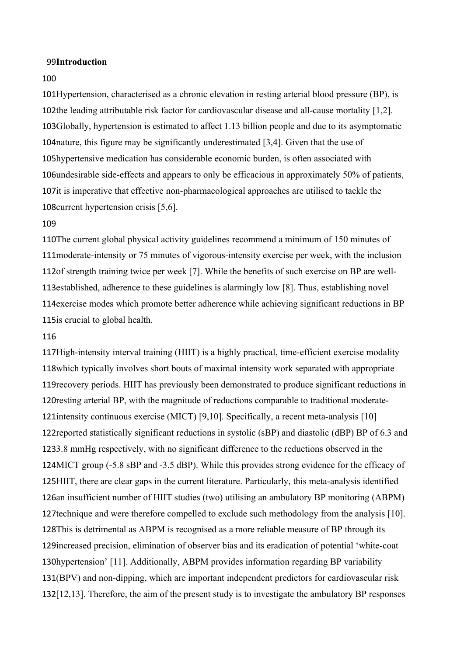#### **Introduction** 99

### 100

101Hypertension, characterised as a chronic elevation in resting arterial blood pressure (BP), is 102the leading attributable risk factor for cardiovascular disease and all-cause mortality  $[1,2]$ . 103Globally, hypertension is estimated to affect 1.13 billion people and due to its asymptomatic 104 nature, this figure may be significantly underestimated  $[3,4]$ . Given that the use of 105hypertensive medication has considerable economic burden, is often associated with 106 undesirable side-effects and appears to only be efficacious in approximately 50% of patients, 107it is imperative that effective non-pharmacological approaches are utilised to tackle the 108 current hypertension crisis [5,6].

#### 109

110The current global physical activity guidelines recommend a minimum of 150 minutes of 111 moderate-intensity or 75 minutes of vigorous-intensity exercise per week, with the inclusion 112of strength training twice per week [7]. While the benefits of such exercise on BP are well-113 established, adherence to these guidelines is alarmingly low [8]. Thus, establishing novel 114 exercise modes which promote better adherence while achieving significant reductions in BP 115 is crucial to global health.

#### 116

117High-intensity interval training (HIIT) is a highly practical, time-efficient exercise modality 118 which typically involves short bouts of maximal intensity work separated with appropriate 119 recovery periods. HIIT has previously been demonstrated to produce significant reductions in 120 resting arterial BP, with the magnitude of reductions comparable to traditional moderate-121 intensity continuous exercise (MICT) [9,10]. Specifically, a recent meta-analysis [10] 122 reported statistically significant reductions in systolic (sBP) and diastolic (dBP) BP of 6.3 and 1233.8 mmHg respectively, with no significant difference to the reductions observed in the 124MICT group (-5.8 sBP and -3.5 dBP). While this provides strong evidence for the efficacy of 125HIIT, there are clear gaps in the current literature. Particularly, this meta-analysis identified 126an insufficient number of HIIT studies (two) utilising an ambulatory BP monitoring (ABPM) 127technique and were therefore compelled to exclude such methodology from the analysis [10]. 128This is detrimental as ABPM is recognised as a more reliable measure of BP through its 129 increased precision, elimination of observer bias and its eradication of potential 'white-coat 130hypertension' [11]. Additionally, ABPM provides information regarding BP variability 131(BPV) and non-dipping, which are important independent predictors for cardiovascular risk 132[12,13]. Therefore, the aim of the present study is to investigate the ambulatory BP responses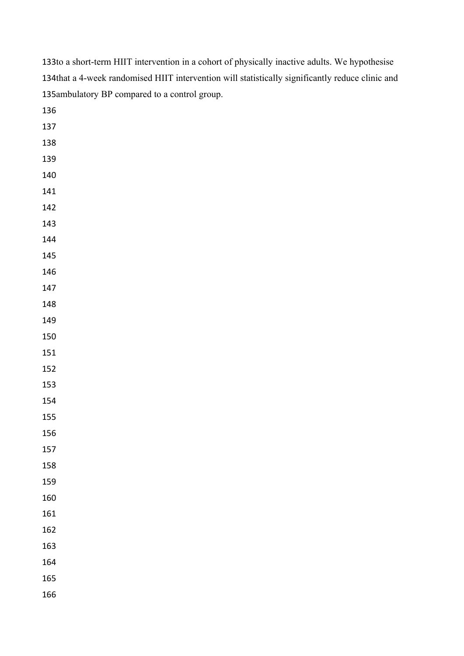| 135ambulatory BP compared to a control group. |  |  |
|-----------------------------------------------|--|--|
| 136                                           |  |  |
| 137                                           |  |  |
| 138                                           |  |  |
| 139                                           |  |  |
| 140                                           |  |  |
| 141                                           |  |  |
| 142                                           |  |  |
| 143                                           |  |  |
| 144                                           |  |  |
| 145                                           |  |  |
| 146                                           |  |  |
| 147                                           |  |  |
| 148                                           |  |  |
| 149                                           |  |  |
| 150                                           |  |  |
| 151                                           |  |  |
| 152                                           |  |  |
| 153                                           |  |  |
| 154                                           |  |  |
| 155                                           |  |  |
| 156                                           |  |  |
| 157                                           |  |  |
| 158                                           |  |  |
| 159                                           |  |  |
| 160                                           |  |  |
| 161                                           |  |  |
| 162                                           |  |  |
| 163                                           |  |  |
| 164                                           |  |  |
| 165                                           |  |  |
| 166                                           |  |  |

133to a short-term HIIT intervention in a cohort of physically inactive adults. We hypothesise

134that a 4-week randomised HIIT intervention will statistically significantly reduce clinic and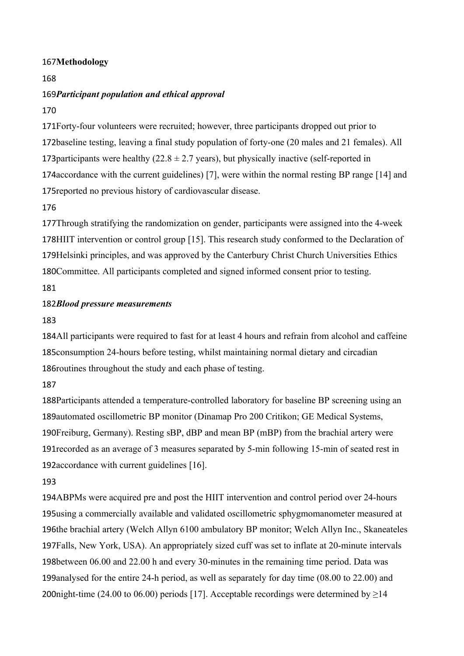## 167Methodology

### 168

# 169 Participant population and ethical approval

170

171 Forty-four volunteers were recruited; however, three participants dropped out prior to 172baseline testing, leaving a final study population of forty-one (20 males and 21 females). All 173 participants were healthy ( $22.8 \pm 2.7$  years), but physically inactive (self-reported in 174 accordance with the current guidelines) [7], were within the normal resting BP range [14] and 175 reported no previous history of cardiovascular disease.

# 176

177 Through stratifying the randomization on gender, participants were assigned into the 4-week 178HIIT intervention or control group [15]. This research study conformed to the Declaration of 179Helsinki principles, and was approved by the Canterbury Christ Church Universities Ethics 180Committee. All participants completed and signed informed consent prior to testing. 181

# *Blood pressure measurements* 182

183

184All participants were required to fast for at least 4 hours and refrain from alcohol and caffeine 185 consumption 24-hours before testing, whilst maintaining normal dietary and circadian 186 routines throughout the study and each phase of testing.

# 187

188Participants attended a temperature-controlled laboratory for baseline BP screening using an 189automated oscillometric BP monitor (Dinamap Pro 200 Critikon; GE Medical Systems, 190Freiburg, Germany). Resting sBP, dBP and mean BP (mBP) from the brachial artery were 191 recorded as an average of 3 measures separated by 5-min following 15-min of seated rest in 192accordance with current guidelines [16].

### 193

194ABPMs were acquired pre and post the HIIT intervention and control period over 24-hours 195using a commercially available and validated oscillometric sphygmomanometer measured at 196the brachial artery (Welch Allyn 6100 ambulatory BP monitor; Welch Allyn Inc., Skaneateles 197Falls, New York, USA). An appropriately sized cuff was set to inflate at 20-minute intervals 198between 06.00 and 22.00 h and every 30-minutes in the remaining time period. Data was 199 analysed for the entire 24-h period, as well as separately for day time (08.00 to 22.00) and 200 night-time (24.00 to 06.00) periods [17]. Acceptable recordings were determined by  $\geq$ 14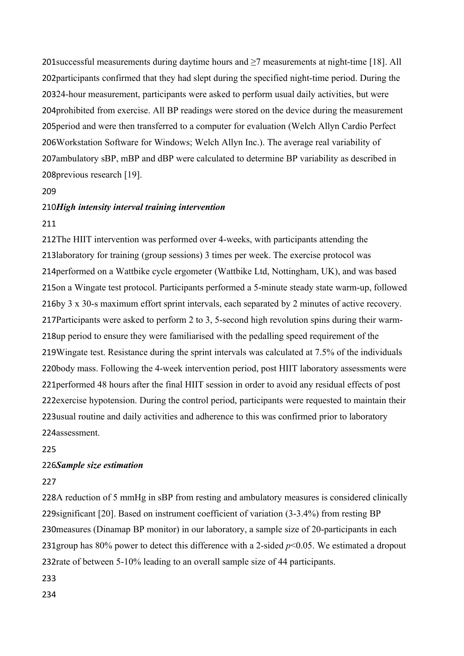201 successful measurements during daytime hours and  $\geq$ 7 measurements at night-time [18]. All 202 participants confirmed that they had slept during the specified night-time period. During the 20324-hour measurement, participants were asked to perform usual daily activities, but were 204 prohibited from exercise. All BP readings were stored on the device during the measurement 205 period and were then transferred to a computer for evaluation (Welch Allyn Cardio Perfect 206 Workstation Software for Windows; Welch Allyn Inc.). The average real variability of 207 ambulatory sBP, mBP and dBP were calculated to determine BP variability as described in 208 previous research [19].

#### 209

### *High intensity interval training intervention* 210

### 211

212The HIIT intervention was performed over 4-weeks, with participants attending the 213laboratory for training (group sessions) 3 times per week. The exercise protocol was 214 performed on a Wattbike cycle ergometer (Wattbike Ltd, Nottingham, UK), and was based 215on a Wingate test protocol. Participants performed a 5-minute steady state warm-up, followed 216by 3 x 30-s maximum effort sprint intervals, each separated by 2 minutes of active recovery. 217Participants were asked to perform 2 to 3, 5-second high revolution spins during their warm-218up period to ensure they were familiarised with the pedalling speed requirement of the 219 Wingate test. Resistance during the sprint intervals was calculated at 7.5% of the individuals 220body mass. Following the 4-week intervention period, post HIIT laboratory assessments were 221 performed 48 hours after the final HIIT session in order to avoid any residual effects of post 222exercise hypotension. During the control period, participants were requested to maintain their 223 usual routine and daily activities and adherence to this was confirmed prior to laboratory 224assessment.

225

### 226Sample size estimation

#### 227

228A reduction of 5 mmHg in sBP from resting and ambulatory measures is considered clinically 229 significant [20]. Based on instrument coefficient of variation  $(3-3.4%)$  from resting BP 230 measures (Dinamap BP monitor) in our laboratory, a sample size of 20-participants in each 231 group has 80% power to detect this difference with a 2-sided  $p<0.05$ . We estimated a dropout 232rate of between 5-10% leading to an overall sample size of 44 participants.

233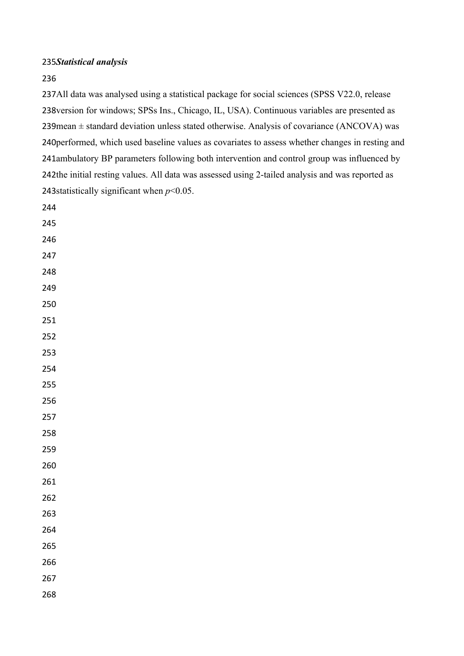# *Statistical analysis*

# 

237All data was analysed using a statistical package for social sciences (SPSS V22.0, release 238 version for windows; SPSs Ins., Chicago, IL, USA). Continuous variables are presented as mean  $\pm$  standard deviation unless stated otherwise. Analysis of covariance (ANCOVA) was 240 performed, which used baseline values as covariates to assess whether changes in resting and 241ambulatory BP parameters following both intervention and control group was influenced by 242the initial resting values. All data was assessed using 2-tailed analysis and was reported as 243 statistically significant when  $p<0.05$ .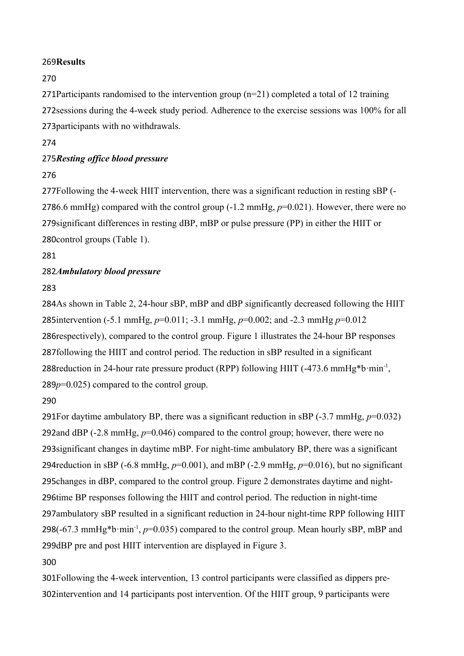# 269Results

# 270

271 Participants randomised to the intervention group  $(n=21)$  completed a total of 12 training 272 sessions during the 4-week study period. Adherence to the exercise sessions was 100% for all 273 participants with no withdrawals.

# 274

# 275 Resting office blood pressure

# 276

277Following the 4-week HIIT intervention, there was a significant reduction in resting sBP (-2786.6 mmHg) compared with the control group  $(-1.2 \text{ mmHg}, p=0.021)$ . However, there were no 279 significant differences in resting dBP, mBP or pulse pressure (PP) in either the HIIT or 280control groups (Table 1).

281

# 282Ambulatory blood pressure

# 283

284As shown in Table 2, 24-hour sBP, mBP and dBP significantly decreased following the HIIT 285intervention (-5.1 mmHg,  $p=0.011$ ; -3.1 mmHg,  $p=0.002$ ; and -2.3 mmHg  $p=0.012$ 286 respectively), compared to the control group. Figure 1 illustrates the 24-hour BP responses 287 following the HIIT and control period. The reduction in sBP resulted in a significant 288 reduction in 24-hour rate pressure product (RPP) following HIIT (-473.6 mmHg\*b·min<sup>-1</sup>,  $289p=0.025$ ) compared to the control group.

### 290

291 For daytime ambulatory BP, there was a significant reduction in sBP  $(-3.7 \text{ mmHg}, p=0.032)$ 292 and dBP  $(-2.8 \text{ mmHg}, p=0.046)$  compared to the control group; however, there were no 293 significant changes in daytime mBP. For night-time ambulatory BP, there was a significant 294 reduction in sBP ( $-6.8$  mmHg,  $p=0.001$ ), and mBP ( $-2.9$  mmHg,  $p=0.016$ ), but no significant 295 changes in dBP, compared to the control group. Figure 2 demonstrates daytime and night-296time BP responses following the HIIT and control period. The reduction in night-time 297 ambulatory sBP resulted in a significant reduction in 24-hour night-time RPP following HIIT 298( $-67.3$  mmHg\*b·min<sup>-1</sup>,  $p=0.035$ ) compared to the control group. Mean hourly sBP, mBP and 299dBP pre and post HIIT intervention are displayed in Figure 3.

### 300

301Following the 4-week intervention, 13 control participants were classified as dippers pre-302 intervention and 14 participants post intervention. Of the HIIT group, 9 participants were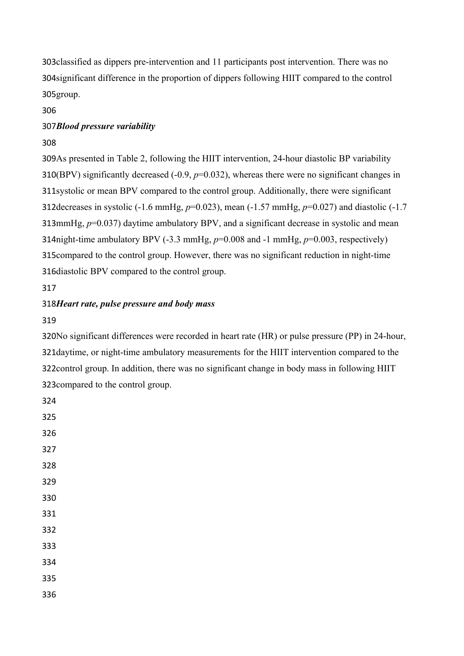303 classified as dippers pre-intervention and 11 participants post intervention. There was no 304 significant difference in the proportion of dippers following HIIT compared to the control 305group.

306

# *Blood pressure variability* 307

308

309As presented in Table 2, following the HIIT intervention, 24-hour diastolic BP variability 310(BPV) significantly decreased  $(-0.9, p=0.032)$ , whereas there were no significant changes in 311 systolic or mean BPV compared to the control group. Additionally, there were significant 312 decreases in systolic  $(-1.6 \text{ mmHg}, p=0.023)$ , mean  $(-1.57 \text{ mmHg}, p=0.027)$  and diastolic  $(-1.7 \text{ mmHg}, p=0.027)$ 313mmHg,  $p=0.037$ ) daytime ambulatory BPV, and a significant decrease in systolic and mean 314 might-time ambulatory BPV  $(-3.3 \text{ mmHg}, p=0.008 \text{ and } -1 \text{ mmHg}, p=0.003 \text{, respectively})$ 315 compared to the control group. However, there was no significant reduction in night-time 316 diastolic BPV compared to the control group.

317

# *Heart rate, pulse pressure and body mass* 318

319

324

320No significant differences were recorded in heart rate (HR) or pulse pressure (PP) in 24-hour, 321 daytime, or night-time ambulatory measurements for the HIIT intervention compared to the 322 control group. In addition, there was no significant change in body mass in following HIIT 323 compared to the control group.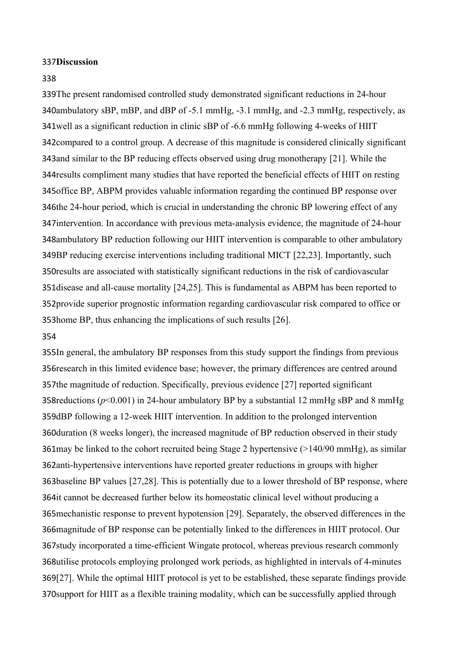#### **337Discussion**

#### 338

339The present randomised controlled study demonstrated significant reductions in 24-hour 340ambulatory sBP, mBP, and dBP of -5.1 mmHg, -3.1 mmHg, and -2.3 mmHg, respectively, as 341 well as a significant reduction in clinic sBP of -6.6 mmHg following 4-weeks of HIIT 342 compared to a control group. A decrease of this magnitude is considered clinically significant 343 and similar to the BP reducing effects observed using drug monotherapy [21]. While the 344 results compliment many studies that have reported the beneficial effects of HIIT on resting 345 office BP, ABPM provides valuable information regarding the continued BP response over 346the 24-hour period, which is crucial in understanding the chronic BP lowering effect of any 347 intervention. In accordance with previous meta-analysis evidence, the magnitude of 24-hour 348ambulatory BP reduction following our HIIT intervention is comparable to other ambulatory 349BP reducing exercise interventions including traditional MICT [22,23]. Importantly, such 350 results are associated with statistically significant reductions in the risk of cardiovascular 351 disease and all-cause mortality  $[24,25]$ . This is fundamental as ABPM has been reported to 352 provide superior prognostic information regarding cardiovascular risk compared to office or 353 home BP, thus enhancing the implications of such results [26].

#### 354

355In general, the ambulatory BP responses from this study support the findings from previous 356 research in this limited evidence base; however, the primary differences are centred around 357the magnitude of reduction. Specifically, previous evidence [27] reported significant 358 reductions ( $p$ <0.001) in 24-hour ambulatory BP by a substantial 12 mmHg sBP and 8 mmHg 359dBP following a 12-week HIIT intervention. In addition to the prolonged intervention 360 duration (8 weeks longer), the increased magnitude of BP reduction observed in their study 361 may be linked to the cohort recruited being Stage 2 hypertensive  $(>140/90 \text{ mmHg})$ , as similar 362anti-hypertensive interventions have reported greater reductions in groups with higher 363baseline BP values [27,28]. This is potentially due to a lower threshold of BP response, where 364it cannot be decreased further below its homeostatic clinical level without producing a 365 mechanistic response to prevent hypotension [29]. Separately, the observed differences in the 366 magnitude of BP response can be potentially linked to the differences in HIIT protocol. Our 367study incorporated a time-efficient Wingate protocol, whereas previous research commonly 368utilise protocols employing prolonged work periods, as highlighted in intervals of 4-minutes 369[27]. While the optimal HIIT protocol is yet to be established, these separate findings provide 370 support for HIIT as a flexible training modality, which can be successfully applied through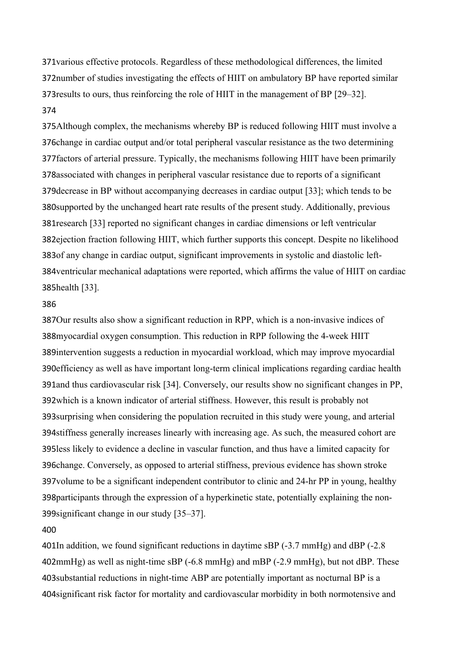371 various effective protocols. Regardless of these methodological differences, the limited 372number of studies investigating the effects of HIIT on ambulatory BP have reported similar 373 results to ours, thus reinforcing the role of HIIT in the management of BP  $[29-32]$ . 374

375 Although complex, the mechanisms whereby BP is reduced following HIIT must involve a 376 change in cardiac output and/or total peripheral vascular resistance as the two determining 377 factors of arterial pressure. Typically, the mechanisms following HIIT have been primarily 378 associated with changes in peripheral vascular resistance due to reports of a significant 379 decrease in BP without accompanying decreases in cardiac output [33]; which tends to be 380 supported by the unchanged heart rate results of the present study. Additionally, previous 381 research [33] reported no significant changes in cardiac dimensions or left ventricular 382 ejection fraction following HIIT, which further supports this concept. Despite no likelihood 383of any change in cardiac output, significant improvements in systolic and diastolic left-384 ventricular mechanical adaptations were reported, which affirms the value of HIIT on cardiac 385health [33].

#### 386

387Our results also show a significant reduction in RPP, which is a non-invasive indices of 388 myocardial oxygen consumption. This reduction in RPP following the 4-week HIIT 389 intervention suggests a reduction in myocardial workload, which may improve myocardial 390 efficiency as well as have important long-term clinical implications regarding cardiac health 391 and thus cardiovascular risk [34]. Conversely, our results show no significant changes in PP, 392 which is a known indicator of arterial stiffness. However, this result is probably not 393 surprising when considering the population recruited in this study were young, and arterial 394 stiffness generally increases linearly with increasing age. As such, the measured cohort are 395less likely to evidence a decline in vascular function, and thus have a limited capacity for 396change. Conversely, as opposed to arterial stiffness, previous evidence has shown stroke 397 volume to be a significant independent contributor to clinic and 24-hr PP in young, healthy 398 participants through the expression of a hyperkinetic state, potentially explaining the non-399 significant change in our study [35-37].

#### 400

401In addition, we found significant reductions in daytime sBP (-3.7 mmHg) and dBP (-2.8 402mmHg) as well as night-time sBP (-6.8 mmHg) and mBP (-2.9 mmHg), but not dBP. These 403 substantial reductions in night-time ABP are potentially important as nocturnal BP is a 404 significant risk factor for mortality and cardiovascular morbidity in both normotensive and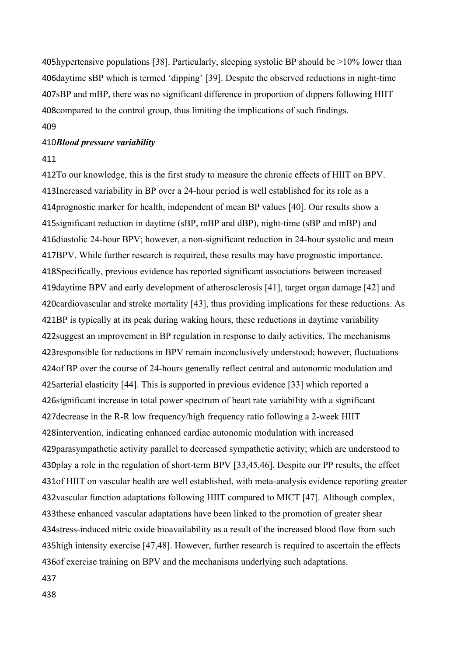405 hypertensive populations [38]. Particularly, sleeping systolic BP should be  $>10\%$  lower than 406daytime sBP which is termed 'dipping' [39]. Despite the observed reductions in night-time 407sBP and mBP, there was no significant difference in proportion of dippers following HIIT 408 compared to the control group, thus limiting the implications of such findings.

# 409

### *Blood pressure variability* 410

#### 411

412To our knowledge, this is the first study to measure the chronic effects of HIIT on BPV. 413Increased variability in BP over a 24-hour period is well established for its role as a 414 prognostic marker for health, independent of mean BP values [40]. Our results show a 415 significant reduction in daytime (sBP, mBP and dBP), night-time (sBP and mBP) and 416 diastolic 24-hour BPV; however, a non-significant reduction in 24-hour systolic and mean 417BPV. While further research is required, these results may have prognostic importance. 418Specifically, previous evidence has reported significant associations between increased 419 daytime BPV and early development of atherosclerosis [41], target organ damage [42] and 420 cardiovascular and stroke mortality [43], thus providing implications for these reductions. As 421BP is typically at its peak during waking hours, these reductions in daytime variability 422 suggest an improvement in BP regulation in response to daily activities. The mechanisms 423 responsible for reductions in BPV remain inconclusively understood; however, fluctuations 424 of BP over the course of 24-hours generally reflect central and autonomic modulation and 425 arterial elasticity [44]. This is supported in previous evidence [33] which reported a 426 significant increase in total power spectrum of heart rate variability with a significant 427 decrease in the R-R low frequency/high frequency ratio following a 2-week HIIT 428 intervention, indicating enhanced cardiac autonomic modulation with increased 429parasympathetic activity parallel to decreased sympathetic activity; which are understood to 430 play a role in the regulation of short-term BPV [33,45,46]. Despite our PP results, the effect 431 of HIIT on vascular health are well established, with meta-analysis evidence reporting greater 432 vascular function adaptations following HIIT compared to MICT [47]. Although complex, 433 these enhanced vascular adaptations have been linked to the promotion of greater shear 434 stress-induced nitric oxide bioavailability as a result of the increased blood flow from such 435 high intensity exercise [47,48]. However, further research is required to ascertain the effects 436 of exercise training on BPV and the mechanisms underlying such adaptations.

437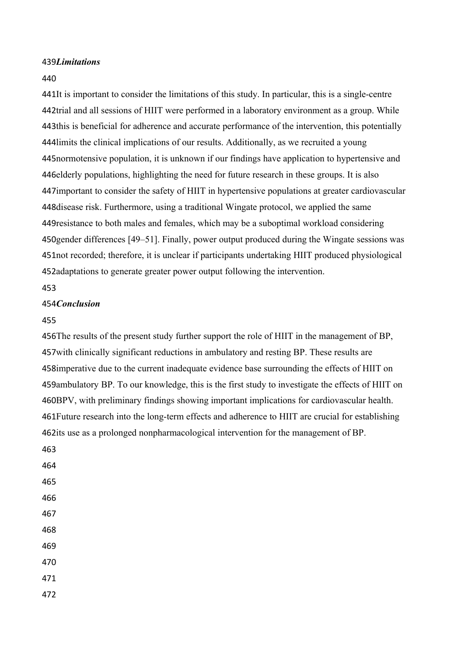### *Limitations* 439

#### 440

441It is important to consider the limitations of this study. In particular, this is a single-centre 442trial and all sessions of HIIT were performed in a laboratory environment as a group. While 443this is beneficial for adherence and accurate performance of the intervention, this potentially 444 limits the clinical implications of our results. Additionally, as we recruited a young 445 normotensive population, it is unknown if our findings have application to hypertensive and 446 elderly populations, highlighting the need for future research in these groups. It is also 447 important to consider the safety of HIIT in hypertensive populations at greater cardiovascular 448 disease risk. Furthermore, using a traditional Wingate protocol, we applied the same 449 resistance to both males and females, which may be a suboptimal workload considering 450gender differences [49–51]. Finally, power output produced during the Wingate sessions was 451 not recorded; therefore, it is unclear if participants undertaking HIIT produced physiological 452adaptations to generate greater power output following the intervention.

### 453

#### 454 *Conclusion*

#### 455

456 The results of the present study further support the role of HIIT in the management of BP, 457 with clinically significant reductions in ambulatory and resting BP. These results are 458 imperative due to the current inadequate evidence base surrounding the effects of HIIT on 459 ambulatory BP. To our knowledge, this is the first study to investigate the effects of HIIT on 460BPV, with preliminary findings showing important implications for cardiovascular health. 461 Future research into the long-term effects and adherence to HIIT are crucial for establishing 462its use as a prolonged nonpharmacological intervention for the management of BP.

- 463 464 465 466 467 468
- 469
- 470
- 471
- 472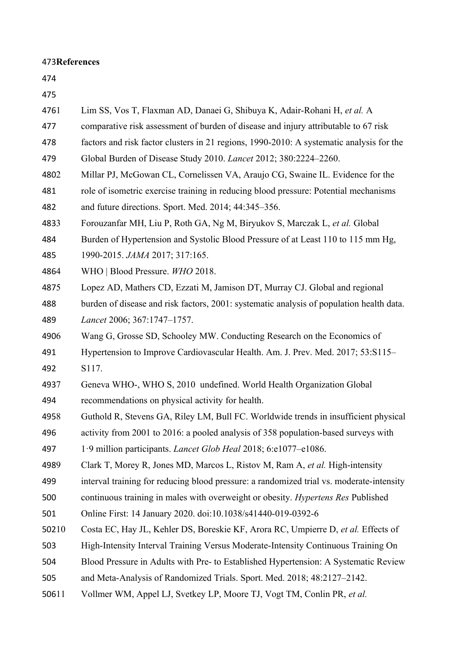# **References** 473

| 475   |                                                                                          |
|-------|------------------------------------------------------------------------------------------|
| 4761  | Lim SS, Vos T, Flaxman AD, Danaei G, Shibuya K, Adair-Rohani H, et al. A                 |
| 477   | comparative risk assessment of burden of disease and injury attributable to 67 risk      |
| 478   | factors and risk factor clusters in 21 regions, 1990-2010: A systematic analysis for the |
| 479   | Global Burden of Disease Study 2010. Lancet 2012; 380:2224-2260.                         |
| 4802  | Millar PJ, McGowan CL, Cornelissen VA, Araujo CG, Swaine IL. Evidence for the            |
| 481   | role of isometric exercise training in reducing blood pressure: Potential mechanisms     |
| 482   | and future directions. Sport. Med. 2014; 44:345-356.                                     |
| 4833  | Forouzanfar MH, Liu P, Roth GA, Ng M, Biryukov S, Marczak L, et al. Global               |
| 484   | Burden of Hypertension and Systolic Blood Pressure of at Least 110 to 115 mm Hg,         |
| 485   | 1990-2015. JAMA 2017; 317:165.                                                           |
| 4864  | WHO   Blood Pressure. WHO 2018.                                                          |
| 4875  | Lopez AD, Mathers CD, Ezzati M, Jamison DT, Murray CJ. Global and regional               |
| 488   | burden of disease and risk factors, 2001: systematic analysis of population health data. |
| 489   | Lancet 2006; 367:1747-1757.                                                              |
| 4906  | Wang G, Grosse SD, Schooley MW. Conducting Research on the Economics of                  |
| 491   | Hypertension to Improve Cardiovascular Health. Am. J. Prev. Med. 2017; 53:S115-          |
| 492   | S117.                                                                                    |
| 4937  | Geneva WHO-, WHO S, 2010 undefined. World Health Organization Global                     |
| 494   | recommendations on physical activity for health.                                         |
| 4958  | Guthold R, Stevens GA, Riley LM, Bull FC. Worldwide trends in insufficient physical      |
| 496   | activity from 2001 to 2016: a pooled analysis of 358 population-based surveys with       |
| 497   | 1.9 million participants. <i>Lancet Glob Heal</i> 2018; 6:e1077-e1086.                   |
| 4989  | Clark T, Morey R, Jones MD, Marcos L, Ristov M, Ram A, et al. High-intensity             |
| 499   | interval training for reducing blood pressure: a randomized trial vs. moderate-intensity |
| 500   | continuous training in males with overweight or obesity. <i>Hypertens Res</i> Published  |
| 501   | Online First: 14 January 2020. doi:10.1038/s41440-019-0392-6                             |
| 50210 | Costa EC, Hay JL, Kehler DS, Boreskie KF, Arora RC, Umpierre D, et al. Effects of        |
| 503   | High-Intensity Interval Training Versus Moderate-Intensity Continuous Training On        |
| 504   | Blood Pressure in Adults with Pre- to Established Hypertension: A Systematic Review      |
| 505   | and Meta-Analysis of Randomized Trials. Sport. Med. 2018; 48:2127-2142.                  |
| 50611 | Vollmer WM, Appel LJ, Svetkey LP, Moore TJ, Vogt TM, Conlin PR, et al.                   |
|       |                                                                                          |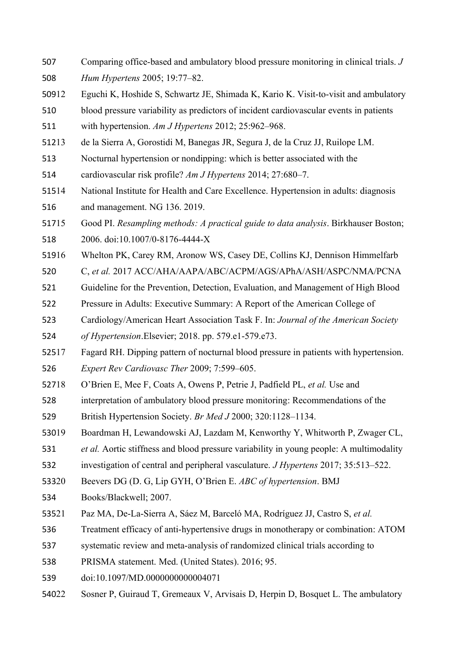- Comparing office-based and ambulatory blood pressure monitoring in clinical trials. *J Hum Hypertens* 2005; 19:77–82. 507 508
- 12 Eguchi K, Hoshide S, Schwartz JE, Shimada K, Kario K. Visit-to-visit and ambulatory 50912
- blood pressure variability as predictors of incident cardiovascular events in patients 510

with hypertension. *Am J Hypertens* 2012; 25:962–968. 511

- 13 de la Sierra A, Gorostidi M, Banegas JR, Segura J, de la Cruz JJ, Ruilope LM. 51213
- Nocturnal hypertension or nondipping: which is better associated with the 513
- cardiovascular risk profile? *Am J Hypertens* 2014; 27:680–7. 514
- National Institute for Health and Care Excellence. Hypertension in adults: diagnosis and management. NG 136. 2019. 515 516
- 15 Good PI. *Resampling methods: A practical guide to data analysis*. Birkhauser Boston; 2006. doi:10.1007/0-8176-4444-X 51715 518
- 16 Whelton PK, Carey RM, Aronow WS, Casey DE, Collins KJ, Dennison Himmelfarb 51916
- C, *et al.* 2017 ACC/AHA/AAPA/ABC/ACPM/AGS/APhA/ASH/ASPC/NMA/PCNA 520
- Guideline for the Prevention, Detection, Evaluation, and Management of High Blood 521
- Pressure in Adults: Executive Summary: A Report of the American College of 522
- Cardiology/American Heart Association Task F. In: *Journal of the American Society*  523
- *of Hypertension*.Elsevier; 2018. pp. 579.e1-579.e73. 524
- 17 Fagard RH. Dipping pattern of nocturnal blood pressure in patients with hypertension. 52517
- *Expert Rev Cardiovasc Ther* 2009; 7:599–605. 526
- 18 O'Brien E, Mee F, Coats A, Owens P, Petrie J, Padfield PL, *et al.* Use and 52718
- interpretation of ambulatory blood pressure monitoring: Recommendations of the 528
- British Hypertension Society. *Br Med J* 2000; 320:1128–1134. 529
- 19 Boardman H, Lewandowski AJ, Lazdam M, Kenworthy Y, Whitworth P, Zwager CL, 53019
- *et al.* Aortic stiffness and blood pressure variability in young people: A multimodality 531
- investigation of central and peripheral vasculature. *J Hypertens* 2017; 35:513–522. 532
- 20 Beevers DG (D. G, Lip GYH, O'Brien E. *ABC of hypertension*. BMJ 53320
- Books/Blackwell; 2007. 534
- 21 Paz MA, De-La-Sierra A, Sáez M, Barceló MA, Rodríguez JJ, Castro S, *et al.* 53521
- Treatment efficacy of anti-hypertensive drugs in monotherapy or combination: ATOM 536
- systematic review and meta-analysis of randomized clinical trials according to 537
- PRISMA statement. Med. (United States). 2016; 95. 538
- doi:10.1097/MD.0000000000004071 539
- 22 Sosner P, Guiraud T, Gremeaux V, Arvisais D, Herpin D, Bosquet L. The ambulatory 54022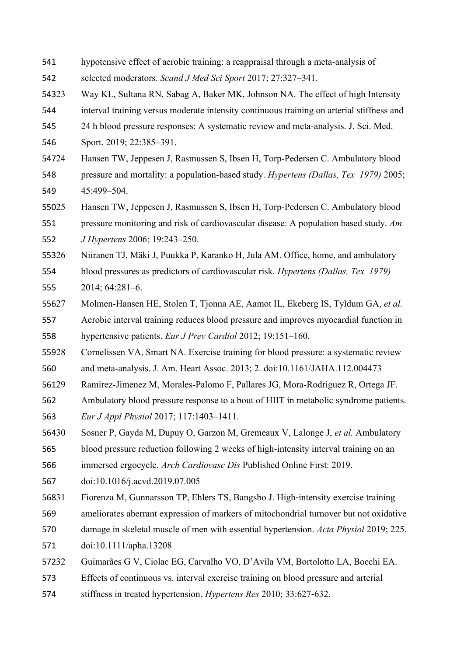- hypotensive effect of aerobic training: a reappraisal through a meta-analysis of selected moderators. *Scand J Med Sci Sport* 2017; 27:327–341. 541 542
- Way KL, Sultana RN, Sabag A, Baker MK, Johnson NA. The effect of high Intensity 54323
- interval training versus moderate intensity continuous training on arterial stiffness and 544
- 24 h blood pressure responses: A systematic review and meta-analysis. J. Sci. Med. 545
- Sport. 2019; 22:385–391. 546
- 24 Hansen TW, Jeppesen J, Rasmussen S, Ibsen H, Torp-Pedersen C. Ambulatory blood 547
- pressure and mortality: a population-based study. *Hypertens (Dallas, Tex 1979)* 2005; 45:499–504. 548 549
- 25 Hansen TW, Jeppesen J, Rasmussen S, Ibsen H, Torp-Pedersen C. Ambulatory blood 55025
- pressure monitoring and risk of cardiovascular disease: A population based study. *Am*  551
- *J Hypertens* 2006; 19:243–250. 552
- 26 Niiranen TJ, Mäki J, Puukka P, Karanko H, Jula AM. Office, home, and ambulatory 55326
- blood pressures as predictors of cardiovascular risk. *Hypertens (Dallas, Tex 1979)* 2014; 64:281–6. 554 555
- 27 Molmen-Hansen HE, Stolen T, Tjonna AE, Aamot IL, Ekeberg IS, Tyldum GA, *et al.* Aerobic interval training reduces blood pressure and improves myocardial function in 55627 557
- hypertensive patients. *Eur J Prev Cardiol* 2012; 19:151–160. 558
- Cornelissen VA, Smart NA. Exercise training for blood pressure: a systematic review 55928
- and meta-analysis. J. Am. Heart Assoc. 2013; 2. doi:10.1161/JAHA.112.004473 560
- Ramirez-Jimenez M, Morales-Palomo F, Pallares JG, Mora-Rodriguez R, Ortega JF. 56129
- Ambulatory blood pressure response to a bout of HIIT in metabolic syndrome patients. *Eur J Appl Physiol* 2017; 117:1403–1411. 562 563
- 30 Sosner P, Gayda M, Dupuy O, Garzon M, Gremeaux V, Lalonge J, *et al.* Ambulatory 56430
- blood pressure reduction following 2 weeks of high-intensity interval training on an 565
- immersed ergocycle. *Arch Cardiovasc Dis* Published Online First: 2019. 566
- doi:10.1016/j.acvd.2019.07.005 567
- Fiorenza M, Gunnarsson TP, Ehlers TS, Bangsbo J. High-intensity exercise training 568
- ameliorates aberrant expression of markers of mitochondrial turnover but not oxidative 569
- damage in skeletal muscle of men with essential hypertension. *Acta Physiol* 2019; 225. 570
- doi:10.1111/apha.13208 571
- 32 Guimarães G V, Ciolac EG, Carvalho VO, D'Avila VM, Bortolotto LA, Bocchi EA. 572
- Effects of continuous vs. interval exercise training on blood pressure and arterial 573
- stiffness in treated hypertension. *Hypertens Res* 2010; 33:627-632. 574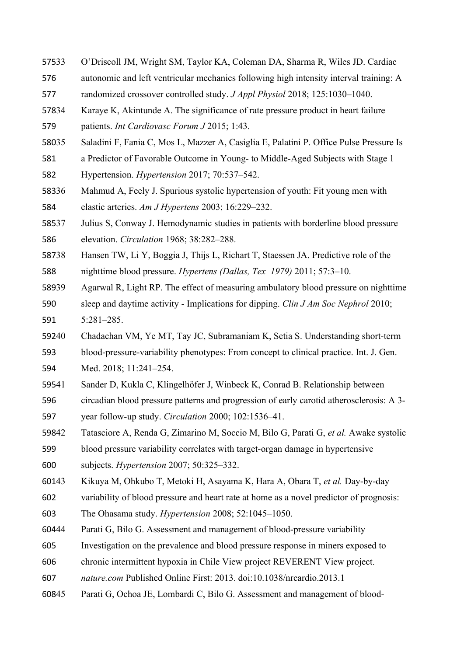- 33 O'Driscoll JM, Wright SM, Taylor KA, Coleman DA, Sharma R, Wiles JD. Cardiac 57533
- autonomic and left ventricular mechanics following high intensity interval training: A 576
- randomized crossover controlled study. *J Appl Physiol* 2018; 125:1030–1040. 577
- Karaye K, Akintunde A. The significance of rate pressure product in heart failure patients. *Int Cardiovasc Forum J* 2015; 1:43. 57834 579
- 35 Saladini F, Fania C, Mos L, Mazzer A, Casiglia E, Palatini P. Office Pulse Pressure Is 58035
- a Predictor of Favorable Outcome in Young- to Middle-Aged Subjects with Stage 1 Hypertension. *Hypertension* 2017; 70:537–542. 581 582
- Mahmud A, Feely J. Spurious systolic hypertension of youth: Fit young men with elastic arteries. *Am J Hypertens* 2003; 16:229–232. 58336 584
- Julius S, Conway J. Hemodynamic studies in patients with borderline blood pressure elevation. *Circulation* 1968; 38:282–288. 58537 586
- 38 Hansen TW, Li Y, Boggia J, Thijs L, Richart T, Staessen JA. Predictive role of the nighttime blood pressure. *Hypertens (Dallas, Tex 1979)* 2011; 57:3–10. 58738 588
- Agarwal R, Light RP. The effect of measuring ambulatory blood pressure on nighttime sleep and daytime activity - Implications for dipping. *Clin J Am Soc Nephrol* 2010; 5:281–285. 58939 590 591
- 40 Chadachan VM, Ye MT, Tay JC, Subramaniam K, Setia S. Understanding short-term 59240
- blood-pressure-variability phenotypes: From concept to clinical practice. Int. J. Gen. 593
- Med. 2018; 11:241–254. 594
- Sander D, Kukla C, Klingelhöfer J, Winbeck K, Conrad B. Relationship between 59541
- circadian blood pressure patterns and progression of early carotid atherosclerosis: A 3 year follow-up study. *Circulation* 2000; 102:1536–41. 596 597
- 42 Tatasciore A, Renda G, Zimarino M, Soccio M, Bilo G, Parati G, *et al.* Awake systolic 59842
- blood pressure variability correlates with target-organ damage in hypertensive subjects. *Hypertension* 2007; 50:325–332. 599 600
- 43 Kikuya M, Ohkubo T, Metoki H, Asayama K, Hara A, Obara T, *et al.* Day-by-day 60143
- variability of blood pressure and heart rate at home as a novel predictor of prognosis: 602
- The Ohasama study. *Hypertension* 2008; 52:1045–1050. 603
- Parati G, Bilo G. Assessment and management of blood-pressure variability 60444
- Investigation on the prevalence and blood pressure response in miners exposed to 605
- chronic intermittent hypoxia in Chile View project REVERENT View project. 606
- *nature.com* Published Online First: 2013. doi:10.1038/nrcardio.2013.1 607
- Parati G, Ochoa JE, Lombardi C, Bilo G. Assessment and management of blood-60845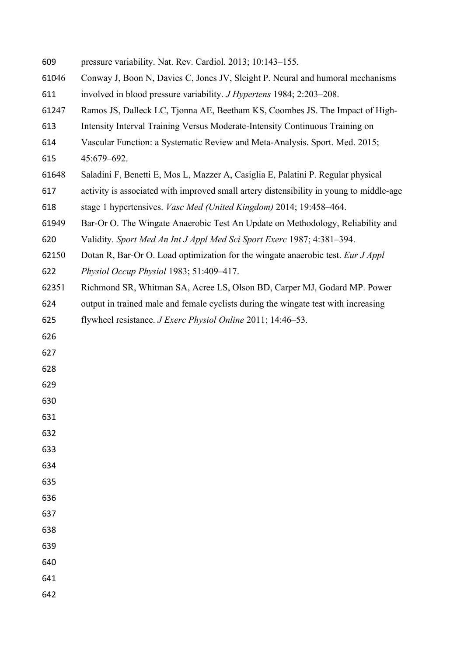| 609   | pressure variability. Nat. Rev. Cardiol. 2013; 10:143-155.                              |
|-------|-----------------------------------------------------------------------------------------|
| 61046 | Conway J, Boon N, Davies C, Jones JV, Sleight P. Neural and humoral mechanisms          |
| 611   | involved in blood pressure variability. <i>J Hypertens</i> 1984; 2:203–208.             |
| 61247 | Ramos JS, Dalleck LC, Tjonna AE, Beetham KS, Coombes JS. The Impact of High-            |
| 613   | Intensity Interval Training Versus Moderate-Intensity Continuous Training on            |
| 614   | Vascular Function: a Systematic Review and Meta-Analysis. Sport. Med. 2015;             |
| 615   | 45:679-692.                                                                             |
| 61648 | Saladini F, Benetti E, Mos L, Mazzer A, Casiglia E, Palatini P. Regular physical        |
| 617   | activity is associated with improved small artery distensibility in young to middle-age |
| 618   | stage 1 hypertensives. <i>Vasc Med (United Kingdom)</i> 2014; 19:458–464.               |
| 61949 | Bar-Or O. The Wingate Anaerobic Test An Update on Methodology, Reliability and          |
| 620   | Validity. Sport Med An Int J Appl Med Sci Sport Exerc 1987; 4:381-394.                  |
| 62150 | Dotan R, Bar-Or O. Load optimization for the wingate anaerobic test. Eur J Appl         |
| 622   | Physiol Occup Physiol 1983; 51:409-417.                                                 |
| 62351 | Richmond SR, Whitman SA, Acree LS, Olson BD, Carper MJ, Godard MP. Power                |
| 624   | output in trained male and female cyclists during the wingate test with increasing      |
| 625   | flywheel resistance. <i>J Exerc Physiol Online</i> 2011; 14:46–53.                      |
| 626   |                                                                                         |
| 627   |                                                                                         |
| 628   |                                                                                         |
| 629   |                                                                                         |
| 630   |                                                                                         |
| 631   |                                                                                         |
| 632   |                                                                                         |
| 633   |                                                                                         |
| 634   |                                                                                         |
| 635   |                                                                                         |
| 636   |                                                                                         |
| 637   |                                                                                         |
| 638   |                                                                                         |
| 639   |                                                                                         |
| 640   |                                                                                         |
| 641   |                                                                                         |
| 642   |                                                                                         |